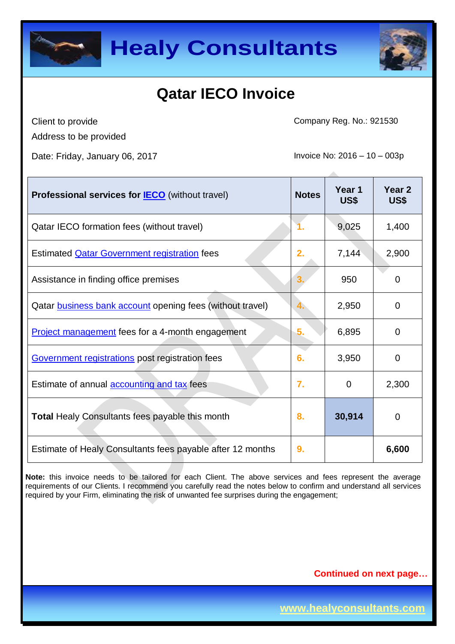



Client to provide

Address to be provided

Date: Friday, January 06, 2017 **Invoice No: 2016 – 10 – 003p** 

Company Reg. No.: 921530

| <b>Professional services for <b>IECO</b> (without travel)</b> | <b>Notes</b> | Year <sub>1</sub><br>US\$ | Year 2<br>US\$ |
|---------------------------------------------------------------|--------------|---------------------------|----------------|
| Qatar IECO formation fees (without travel)                    |              | 9,025                     | 1,400          |
| Estimated <b>Qatar Government registration</b> fees           | 2.           | 7,144                     | 2,900          |
| Assistance in finding office premises                         |              | 950                       | $\Omega$       |
| Qatar business bank account opening fees (without travel)     |              | 2,950                     | $\Omega$       |
| <b>Project management</b> fees for a 4-month engagement       | 5.           | 6,895                     | 0              |
| Government registrations post registration fees               | 6.           | 3,950                     | $\Omega$       |
| Estimate of annual <b>accounting and tax</b> fees             | 7.           | 0                         | 2,300          |
| <b>Total Healy Consultants fees payable this month</b>        | 8.           | 30,914                    | 0              |
| Estimate of Healy Consultants fees payable after 12 months    | 9.           |                           | 6,600          |

**Note:** this invoice needs to be tailored for each Client. The above services and fees represent the average requirements of our Clients. I recommend you carefully read the notes below to confirm and understand all services required by your Firm, eliminating the risk of unwanted fee surprises during the engagement;

**Continued on next page…**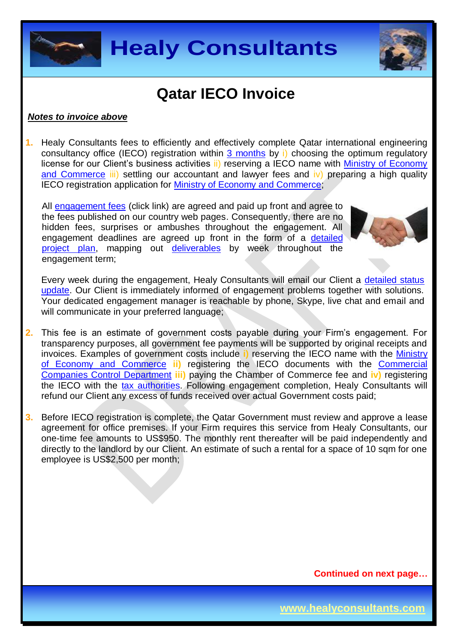



#### *Notes to invoice above*

**1.** Healy Consultants fees to efficiently and effectively complete Qatar international engineering consultancy office (IECO) registration within [3 months](http://www.healyconsultants.com/qatar-company-registration/fees-timelines/) by i) choosing the optimum regulatory license for our Client's business activities ii) reserving a IECO name with Ministry of Economy [and Commerce](http://www.mec.gov.qa/en/) iii) settling our accountant and lawyer fees and iv) preparing a high quality IECO registration application for [Ministry of Economy and Commerce;](http://www.mec.gov.qa/en/)

All [engagement fees](http://www.healyconsultants.com/company-registration-fees/) (click link) are agreed and paid up front and agree to the fees published on our country web pages. Consequently, there are no hidden fees, surprises or ambushes throughout the engagement. All engagement deadlines are agreed up front in the form of a [detailed](http://www.healyconsultants.com/index-important-links/example-project-plan/)  [project plan,](http://www.healyconsultants.com/index-important-links/example-project-plan/) mapping out [deliverables](http://www.healyconsultants.com/deliverables-to-our-clients/) by week throughout the engagement term;



Every week during the engagement, Healy Consultants will email our Client a [detailed status](http://www.healyconsultants.com/index-important-links/weekly-engagement-status-email/)  [update.](http://www.healyconsultants.com/index-important-links/weekly-engagement-status-email/) Our Client is immediately informed of engagement problems together with solutions. Your dedicated engagement manager is reachable by phone, Skype, live chat and email and will communicate in your preferred language;

- **2.** This fee is an estimate of government costs payable during your Firm's engagement. For transparency purposes, all government fee payments will be supported by original receipts and invoices. Examples of government costs include **i)** reserving the IECO name with the [Ministry](http://www.mec.gov.qa/en/)  of [Economy and Commerce](http://www.mec.gov.qa/en/) **ii)** registering the IECO documents with the [Commercial](http://www.mec.gov.qa/en/departments/administration_Trade/companies-control)  [Companies Control Department](http://www.mec.gov.qa/en/departments/administration_Trade/companies-control) **iii)** paying the Chamber of Commerce fee and **iv)** registering the IECO with the [tax authorities.](https://www.mof.gov.qa/ar/Pages/defaultHome.aspx) Following engagement completion, Healy Consultants will refund our Client any excess of funds received over actual Government costs paid;
- **3.** Before IECO registration is complete, the Qatar Government must review and approve a lease agreement for office premises. If your Firm requires this service from Healy Consultants, our one-time fee amounts to US\$950. The monthly rent thereafter will be paid independently and directly to the landlord by our Client. An estimate of such a rental for a space of 10 sqm for one employee is US\$2,500 per month;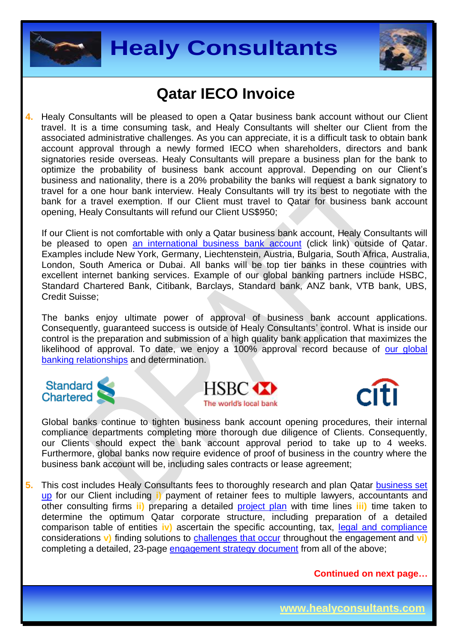



**4.** Healy Consultants will be pleased to open a Qatar business bank account without our Client travel. It is a time consuming task, and Healy Consultants will shelter our Client from the associated administrative challenges. As you can appreciate, it is a difficult task to obtain bank account approval through a newly formed IECO when shareholders, directors and bank signatories reside overseas. Healy Consultants will prepare a business plan for the bank to optimize the probability of business bank account approval. Depending on our Client's business and nationality, there is a 20% probability the banks will request a bank signatory to travel for a one hour bank interview. Healy Consultants will try its best to negotiate with the bank for a travel exemption. If our Client must travel to Qatar for business bank account opening, Healy Consultants will refund our Client US\$950;

If our Client is not comfortable with only a Qatar business bank account, Healy Consultants will be pleased to open [an international business](http://www.healyconsultants.com/international-banking/) bank account (click link) outside of Qatar. Examples include New York, Germany, Liechtenstein, Austria, Bulgaria, South Africa, Australia, London, South America or Dubai. All banks will be top tier banks in these countries with excellent internet banking services. Example of our global banking partners include HSBC, Standard Chartered Bank, Citibank, Barclays, Standard bank, ANZ bank, VTB bank, UBS, Credit Suisse;

The banks enjoy ultimate power of approval of business bank account applications. Consequently, guaranteed success is outside of Healy Consultants' control. What is inside our control is the preparation and submission of a high quality bank application that maximizes the likelihood of approval. To date, we enjoy a 100% approval record because of our global [banking relationships](http://www.healyconsultants.com/international-banking/corporate-accounts/) and determination.







Global banks continue to tighten business bank account opening procedures, their internal compliance departments completing more thorough due diligence of Clients. Consequently, our Clients should expect the bank account approval period to take up to 4 weeks. Furthermore, global banks now require evidence of proof of business in the country where the business bank account will be, including sales contracts or lease agreement;

**5.** This cost includes Healy Consultants fees to thoroughly research and plan Qatar [business set](http://www.healyconsultants.com/qatar-company-registration/setup-llc/)  [up](http://www.healyconsultants.com/qatar-company-registration/setup-llc/) for our Client including **i)** payment of retainer fees to multiple lawyers, accountants and other consulting firms **ii)** preparing a detailed [project plan](http://www.healyconsultants.com/index-important-links/example-project-plan/) with time lines **iii)** time taken to determine the optimum Qatar corporate structure, including preparation of a detailed comparison table of entities **iv)** ascertain the specific accounting, tax, [legal and compliance](http://www.healyconsultants.com/about-us/key-personnel/cai-xin-profile/) considerations **v)** finding solutions to [challenges that occur](http://www.healyconsultants.com/engagement-project-management/) throughout the engagement and **vi)** completing a detailed, 23-page [engagement strategy document](http://www.healyconsultants.com/engagement-strategy/) from all of the above;

**Continued on next page…**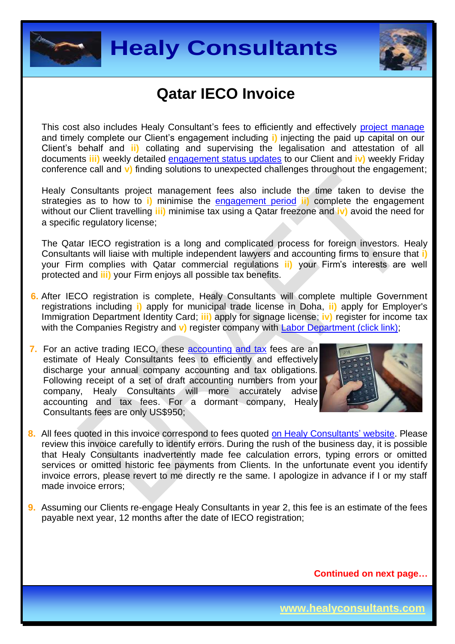



This cost also includes Healy Consultant's fees to efficiently and effectively [project manage](http://www.healyconsultants.com/project-manage-engagements/) and timely complete our Client's engagement including **i)** injecting the paid up capital on our Client's behalf and **ii)** collating and supervising the legalisation and attestation of all documents **iii)** weekly detailed [engagement status updates](http://www.healyconsultants.com/index-important-links/weekly-engagement-status-email/) to our Client and **iv)** weekly Friday conference call and **v)** finding solutions to unexpected challenges throughout the engagement;

Healy Consultants project management fees also include the time taken to devise the strategies as to how to **i)** minimise the [engagement period](http://www.healyconsultants.com/qatar-company-registration/fees-timelines/) **ii)** complete the engagement without our Client travelling **iii)** minimise tax using a Qatar freezone and **iv)** avoid the need for a specific regulatory license;

The Qatar IECO registration is a long and complicated process for foreign investors. Healy Consultants will liaise with multiple independent lawyers and accounting firms to ensure that **i)** your Firm complies with Qatar commercial regulations **ii)** your Firm's interests are well protected and **iii)** your Firm enjoys all possible tax benefits.

- **6.** After IECO registration is complete, Healy Consultants will complete multiple Government registrations including **i)** apply for municipal trade license in Doha, **ii)** apply for Employer's Immigration Department Identity Card; **iii)** apply for signage license; **iv)** register for income tax with the Companies Registry and **v**) register company with [Labor Department \(click link\);](http://www.mol.gov.qa/)
- **7.** For an active trading IECO, these [accounting and tax](http://www.healyconsultants.com/qatar-company-registration/accounting-legal/) fees are an estimate of Healy Consultants fees to efficiently and effectively discharge your annual company accounting and tax obligations. Following receipt of a set of draft accounting numbers from your company, Healy Consultants will more accurately advise accounting and tax fees. For a dormant company, Healy Consultants fees are only US\$950;



- **8.** All fees quoted in this invoice correspond to fees quoted [on Healy Consultants'](http://www.healyconsultants.com/company-registration-fees/) website. Please review this invoice carefully to identify errors. During the rush of the business day, it is possible that Healy Consultants inadvertently made fee calculation errors, typing errors or omitted services or omitted historic fee payments from Clients. In the unfortunate event you identify invoice errors, please revert to me directly re the same. I apologize in advance if I or my staff made invoice errors;
- **9.** Assuming our Clients re-engage Healy Consultants in year 2, this fee is an estimate of the fees payable next year, 12 months after the date of IECO registration;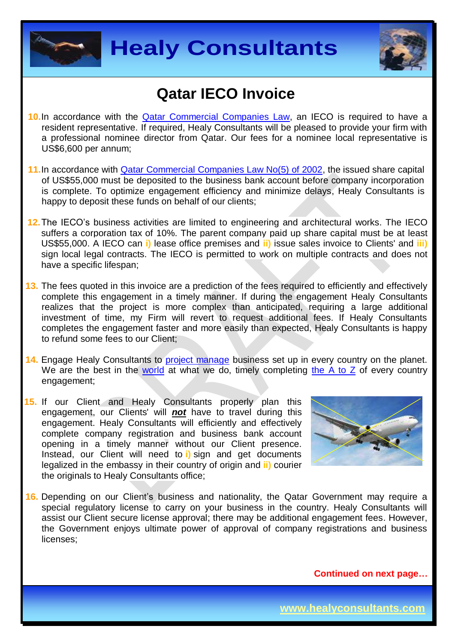



- **10.**In accordance with the [Qatar Commercial Companies Law,](http://www.qcb.gov.qa/English/Documents/QCB%20Law/Commercial_companies_law_En.pdf) an IECO is required to have a resident representative. If required, Healy Consultants will be pleased to provide your firm with a professional nominee director from Qatar. Our fees for a nominee local representative is US\$6,600 per annum;
- **11.** In accordance with **Qatar Commercial Companies Law No(5) of 2002**, the issued share capital of US\$55,000 must be deposited to the business bank account before company incorporation is complete. To optimize engagement efficiency and minimize delays, Healy Consultants is happy to deposit these funds on behalf of our clients;
- **12.**The IECO's business activities are limited to engineering and architectural works. The IECO suffers a corporation tax of 10%. The parent company paid up share capital must be at least US\$55,000. A IECO can **i)** lease office premises and **ii)** issue sales invoice to Clients' and **iii)** sign local legal contracts. The IECO is permitted to work on multiple contracts and does not have a specific lifespan;
- **13.** The fees quoted in this invoice are a prediction of the fees required to efficiently and effectively complete this engagement in a timely manner. If during the engagement Healy Consultants realizes that the project is more complex than anticipated, requiring a large additional investment of time, my Firm will revert to request additional fees. If Healy Consultants completes the engagement faster and more easily than expected, Healy Consultants is happy to refund some fees to our Client;
- **14.** Engage Healy Consultants to [project manage](http://www.healyconsultants.com/project-manage-engagements/) business set up in every country on the planet. We are the best in the [world](http://www.healyconsultants.com/best-in-the-world/) at what we do, timely completing [the A to Z](http://www.healyconsultants.com/a-to-z-of-business-set-up/) of every country engagement;
- **15.** If our Client and Healy Consultants properly plan this engagement, our Clients' will *not* have to travel during this engagement. Healy Consultants will efficiently and effectively complete company registration and business bank account opening in a timely manner without our Client presence. Instead, our Client will need to **i)** sign and get documents legalized in the embassy in their country of origin and **ii)** courier the originals to Healy Consultants office;



**16.** Depending on our Client's business and nationality, the Qatar Government may require a special regulatory license to carry on your business in the country. Healy Consultants will assist our Client secure license approval; there may be additional engagement fees. However, the Government enjoys ultimate power of approval of company registrations and business licenses;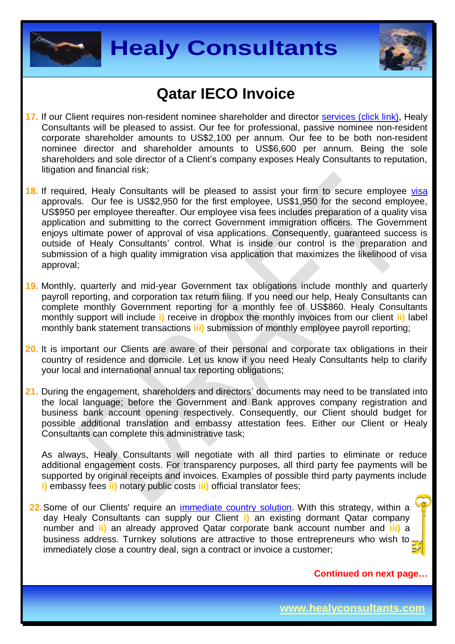



- **17.** If our Client requires non-resident nominee shareholder and director services [\(click link\),](http://www.healyconsultants.com/corporate-outsourcing-services/nominee-shareholders-directors/) Healy Consultants will be pleased to assist. Our fee for professional, passive nominee non-resident corporate shareholder amounts to US\$2,100 per annum. Our fee to be both non-resident nominee director and shareholder amounts to US\$6,600 per annum. Being the sole shareholders and sole director of a Client's company exposes Healy Consultants to reputation, litigation and financial risk;
- **18.** If required, Healy Consultants will be pleased to assist your firm to secure employee [visa](http://www.healyconsultants.com/qatar-company-registration/employment-visas/) approvals. Our fee is US\$2,950 for the first employee, US\$1,950 for the second employee, US\$950 per employee thereafter. Our employee visa fees includes preparation of a quality visa application and submitting to the correct Government immigration officers. The Government enjoys ultimate power of approval of visa applications. Consequently, guaranteed success is outside of Healy Consultants' control. What is inside our control is the preparation and submission of a high quality immigration visa application that maximizes the likelihood of visa approval;
- **19.** Monthly, quarterly and mid-year Government tax obligations include monthly and quarterly payroll reporting, and corporation tax return filing. If you need our help, Healy Consultants can complete monthly Government reporting for a monthly fee of US\$860. Healy Consultants monthly support will include **i)** receive in dropbox the monthly invoices from our client **ii)** label monthly bank statement transactions **iii)** submission of monthly employee payroll reporting;
- **20.** It is important our Clients are aware of their personal and corporate tax obligations in their country of residence and domicile. Let us know if you need Healy Consultants help to clarify your local and international annual tax reporting obligations;
- **21.** During the engagement, shareholders and directors' documents may need to be translated into the local language; before the Government and Bank approves company registration and business bank account opening respectively. Consequently, our Client should budget for possible additional translation and embassy attestation fees. Either our Client or Healy Consultants can complete this administrative task;

As always, Healy Consultants will negotiate with all third parties to eliminate or reduce additional engagement costs. For transparency purposes, all third party fee payments will be supported by original receipts and invoices. Examples of possible third party payments include **i)** embassy fees **ii)** notary public costs **iii)** official translator fees;

**22.**Some of our Clients' require an [immediate country](http://www.healyconsultants.com/turnkey-solutions/) solution. With this strategy, within a day Healy Consultants can supply our Client **i)** an existing dormant Qatar company number and **ii)** an already approved Qatar corporate bank account number and **iii)** a business address. Turnkey solutions are attractive to those entrepreneurs who wish to immediately close a country deal, sign a contract or invoice a customer;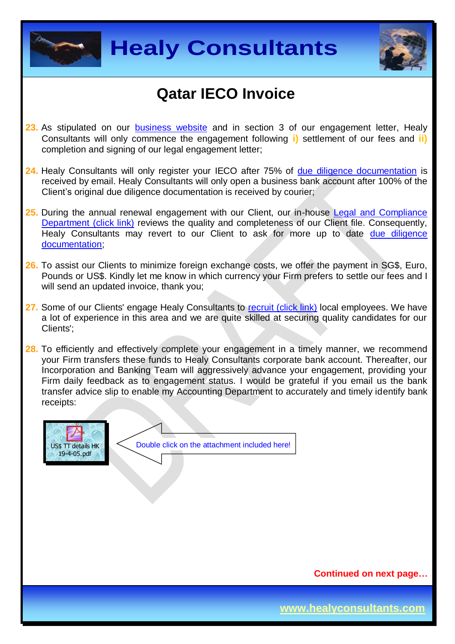



- 23. As stipulated on our [business website](http://www.healyconsultants.com/) and in section 3 of our engagement letter, Healy Consultants will only commence the engagement following **i)** settlement of our fees and **ii)** completion and signing of our legal engagement letter;
- 24. Healy Consultants will only register your IECO after 75% of [due diligence documentation](http://www.healyconsultants.com/due-diligence/) is received by email. Healy Consultants will only open a business bank account after 100% of the Client's original due diligence documentation is received by courier;
- 25. During the annual renewal engagement with our Client, our in-house Legal and Compliance [Department \(click link\)](http://www.healyconsultants.com/about-us/key-personnel/cai-xin-profile/) reviews the quality and completeness of our Client file. Consequently, Healy Consultants may revert to our Client to ask for more up to date [due diligence](http://www.healyconsultants.com/due-diligence/)  [documentation;](http://www.healyconsultants.com/due-diligence/)
- **26.** To assist our Clients to minimize foreign exchange costs, we offer the payment in SG\$, Euro, Pounds or US\$. Kindly let me know in which currency your Firm prefers to settle our fees and I will send an updated invoice, thank you;
- 27. Some of our Clients' engage Healy Consultants to [recruit \(click link\)](http://www.healyconsultants.com/corporate-outsourcing-services/how-we-help-our-clients-recruit-quality-employees/) local employees. We have a lot of experience in this area and we are quite skilled at securing quality candidates for our Clients';
- 28. To efficiently and effectively complete your engagement in a timely manner, we recommend your Firm transfers these funds to Healy Consultants corporate bank account. Thereafter, our Incorporation and Banking Team will aggressively advance your engagement, providing your Firm daily feedback as to engagement status. I would be grateful if you email us the bank transfer advice slip to enable my Accounting Department to accurately and timely identify bank receipts:



**Continued on next page…**